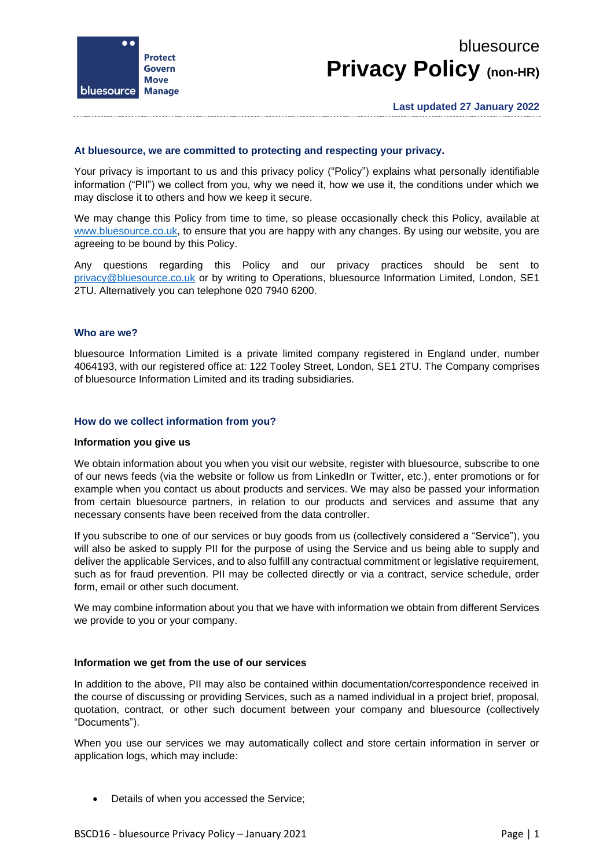

# bluesource **Privacy Policy (non-HR)**

# **At bluesource, we are committed to protecting and respecting your privacy.**

Your privacy is important to us and this privacy policy ("Policy") explains what personally identifiable information ("PII") we collect from you, why we need it, how we use it, the conditions under which we may disclose it to others and how we keep it secure.

We may change this Policy from time to time, so please occasionally check this Policy, available at [www.bluesource.co.uk,](https://bluesource.sharepoint.com/sites/ISO27001/Shared%20Documents/iso%20-%20controled%20documents/bscd16%20-%20privacy%20policy/www.bluesource.co.uk) to ensure that you are happy with any changes. By using our website, you are agreeing to be bound by this Policy.

Any questions regarding this Policy and our privacy practices should be sent to [privacy@bluesource.co.uk](mailto:privacy@bluesource.co.uk) or by writing to Operations, bluesource Information Limited, London, SE1 2TU. Alternatively you can telephone 020 7940 6200.

#### **Who are we?**

bluesource Information Limited is a private limited company registered in England under, number 4064193, with our registered office at: 122 Tooley Street, London, SE1 2TU. The Company comprises of bluesource Information Limited and its trading subsidiaries.

#### **How do we collect information from you?**

#### **Information you give us**

We obtain information about you when you visit our website, register with bluesource, subscribe to one of our news feeds (via the website or follow us from LinkedIn or Twitter, etc.), enter promotions or for example when you contact us about products and services. We may also be passed your information from certain bluesource partners, in relation to our products and services and assume that any necessary consents have been received from the data controller.

If you subscribe to one of our services or buy goods from us (collectively considered a "Service"), you will also be asked to supply PII for the purpose of using the Service and us being able to supply and deliver the applicable Services, and to also fulfill any contractual commitment or legislative requirement, such as for fraud prevention. PII may be collected directly or via a contract, service schedule, order form, email or other such document.

We may combine information about you that we have with information we obtain from different Services we provide to you or your company.

#### **Information we get from the use of our services**

In addition to the above, PII may also be contained within documentation/correspondence received in the course of discussing or providing Services, such as a named individual in a project brief, proposal, quotation, contract, or other such document between your company and bluesource (collectively "Documents").

When you use our services we may automatically collect and store certain information in server or application logs, which may include:

• Details of when you accessed the Service;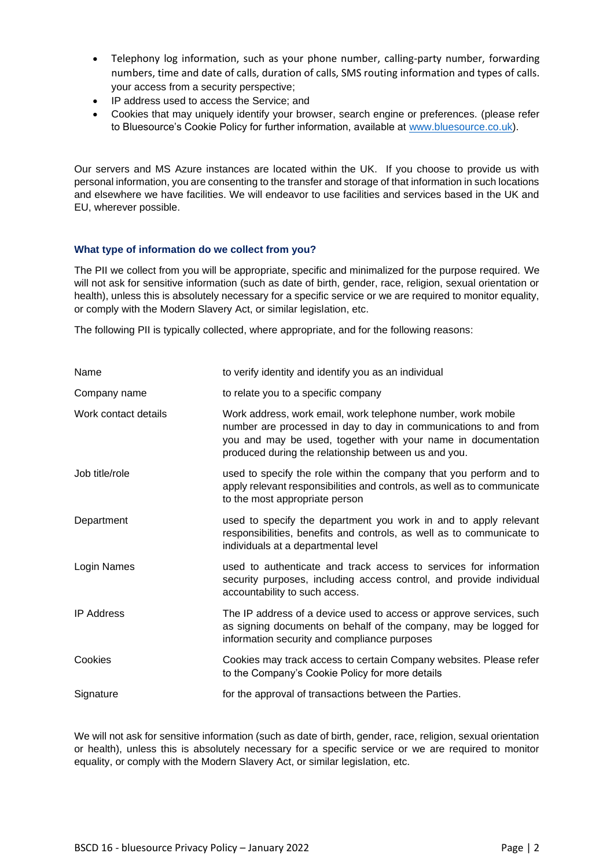- Telephony log information, such as your phone number, calling-party number, forwarding numbers, time and date of calls, duration of calls, SMS routing information and types of calls. your access from a security perspective;
- IP address used to access the Service; and
- Cookies that may uniquely identify your browser, search engine or preferences. (please refer to Bluesource's Cookie Policy for further information, available at [www.bluesource.co.uk\)](https://bluesource.sharepoint.com/sites/ISO27001/Shared%20Documents/iso%20-%20controled%20documents/bscd16%20-%20privacy%20policy/www.bluesource.co.uk).

Our servers and MS Azure instances are located within the UK. If you choose to provide us with personal information, you are consenting to the transfer and storage of that information in such locations and elsewhere we have facilities. We will endeavor to use facilities and services based in the UK and EU, wherever possible.

# **What type of information do we collect from you?**

The PII we collect from you will be appropriate, specific and minimalized for the purpose required. We will not ask for sensitive information (such as date of birth, gender, race, religion, sexual orientation or health), unless this is absolutely necessary for a specific service or we are required to monitor equality, or comply with the Modern Slavery Act, or similar legislation, etc.

The following PII is typically collected, where appropriate, and for the following reasons:

| Name                 | to verify identity and identify you as an individual                                                                                                                                                                                                      |
|----------------------|-----------------------------------------------------------------------------------------------------------------------------------------------------------------------------------------------------------------------------------------------------------|
| Company name         | to relate you to a specific company                                                                                                                                                                                                                       |
| Work contact details | Work address, work email, work telephone number, work mobile<br>number are processed in day to day in communications to and from<br>you and may be used, together with your name in documentation<br>produced during the relationship between us and you. |
| Job title/role       | used to specify the role within the company that you perform and to<br>apply relevant responsibilities and controls, as well as to communicate<br>to the most appropriate person                                                                          |
| Department           | used to specify the department you work in and to apply relevant<br>responsibilities, benefits and controls, as well as to communicate to<br>individuals at a departmental level                                                                          |
| Login Names          | used to authenticate and track access to services for information<br>security purposes, including access control, and provide individual<br>accountability to such access.                                                                                |
| <b>IP Address</b>    | The IP address of a device used to access or approve services, such<br>as signing documents on behalf of the company, may be logged for<br>information security and compliance purposes                                                                   |
| Cookies              | Cookies may track access to certain Company websites. Please refer<br>to the Company's Cookie Policy for more details                                                                                                                                     |
| Signature            | for the approval of transactions between the Parties.                                                                                                                                                                                                     |

We will not ask for sensitive information (such as date of birth, gender, race, religion, sexual orientation or health), unless this is absolutely necessary for a specific service or we are required to monitor equality, or comply with the Modern Slavery Act, or similar legislation, etc.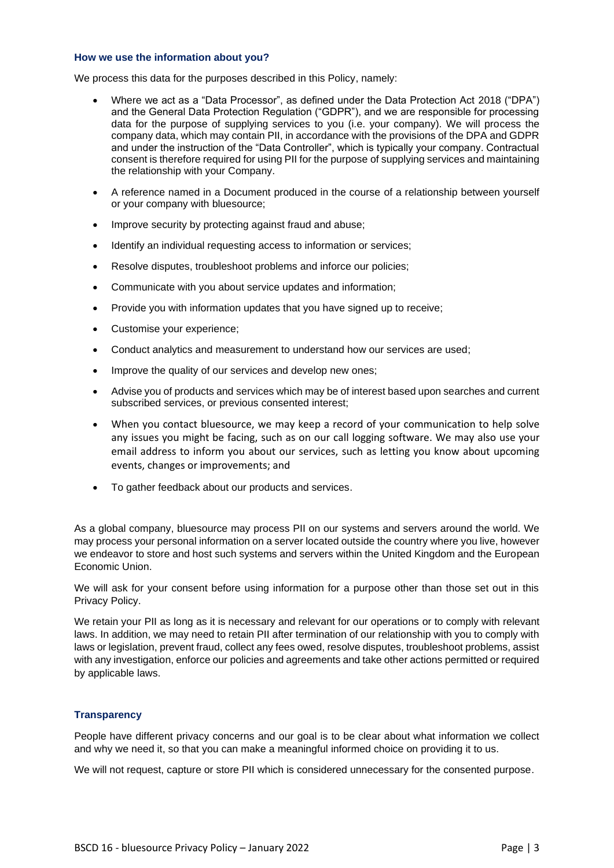#### **How we use the information about you?**

We process this data for the purposes described in this Policy, namely:

- Where we act as a "Data Processor", as defined under the Data Protection Act 2018 ("DPA") and the General Data Protection Regulation ("GDPR"), and we are responsible for processing data for the purpose of supplying services to you (i.e. your company). We will process the company data, which may contain PII, in accordance with the provisions of the DPA and GDPR and under the instruction of the "Data Controller", which is typically your company. Contractual consent is therefore required for using PII for the purpose of supplying services and maintaining the relationship with your Company.
- A reference named in a Document produced in the course of a relationship between yourself or your company with bluesource;
- Improve security by protecting against fraud and abuse;
- Identify an individual requesting access to information or services;
- Resolve disputes, troubleshoot problems and inforce our policies;
- Communicate with you about service updates and information;
- Provide you with information updates that you have signed up to receive;
- Customise your experience;
- Conduct analytics and measurement to understand how our services are used;
- Improve the quality of our services and develop new ones;
- Advise you of products and services which may be of interest based upon searches and current subscribed services, or previous consented interest;
- When you contact bluesource, we may keep a record of your communication to help solve any issues you might be facing, such as on our call logging software. We may also use your email address to inform you about our services, such as letting you know about upcoming events, changes or improvements; and
- To gather feedback about our products and services.

As a global company, bluesource may process PII on our systems and servers around the world. We may process your personal information on a server located outside the country where you live, however we endeavor to store and host such systems and servers within the United Kingdom and the European Economic Union.

We will ask for your consent before using information for a purpose other than those set out in this Privacy Policy.

We retain your PII as long as it is necessary and relevant for our operations or to comply with relevant laws. In addition, we may need to retain PII after termination of our relationship with you to comply with laws or legislation, prevent fraud, collect any fees owed, resolve disputes, troubleshoot problems, assist with any investigation, enforce our policies and agreements and take other actions permitted or required by applicable laws.

# **Transparency**

People have different privacy concerns and our goal is to be clear about what information we collect and why we need it, so that you can make a meaningful informed choice on providing it to us.

We will not request, capture or store PII which is considered unnecessary for the consented purpose.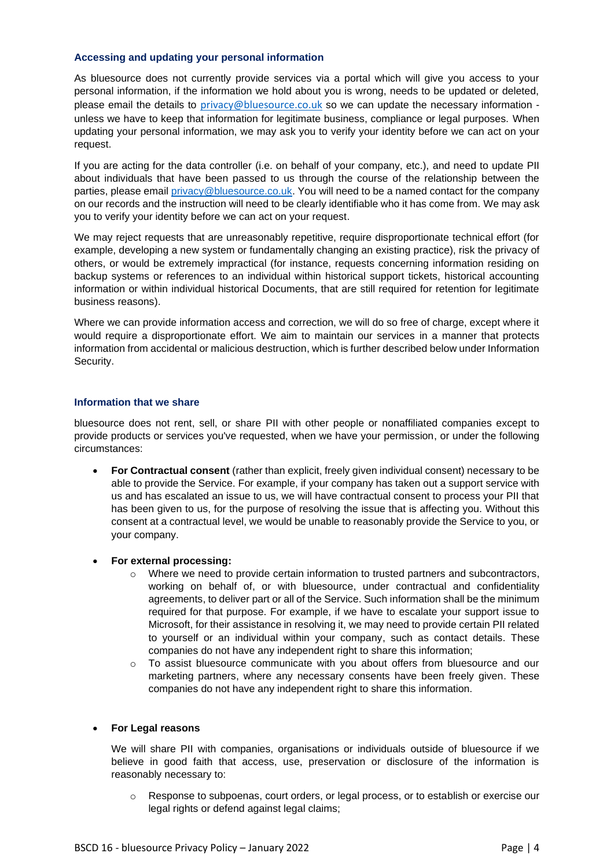## **Accessing and updating your personal information**

As bluesource does not currently provide services via a portal which will give you access to your personal information, if the information we hold about you is wrong, needs to be updated or deleted, please email the details to [privacy@bluesource.co.uk](mailto:privacy@bluesource.co.uk) so we can update the necessary information unless we have to keep that information for legitimate business, compliance or legal purposes. When updating your personal information, we may ask you to verify your identity before we can act on your request.

If you are acting for the data controller (i.e. on behalf of your company, etc.), and need to update PII about individuals that have been passed to us through the course of the relationship between the parties, please email [privacy@bluesource.co.uk.](mailto:privacy@bluesource.co.uk) You will need to be a named contact for the company on our records and the instruction will need to be clearly identifiable who it has come from. We may ask you to verify your identity before we can act on your request.

We may reject requests that are unreasonably repetitive, require disproportionate technical effort (for example, developing a new system or fundamentally changing an existing practice), risk the privacy of others, or would be extremely impractical (for instance, requests concerning information residing on backup systems or references to an individual within historical support tickets, historical accounting information or within individual historical Documents, that are still required for retention for legitimate business reasons).

Where we can provide information access and correction, we will do so free of charge, except where it would require a disproportionate effort. We aim to maintain our services in a manner that protects information from accidental or malicious destruction, which is further described below under Information Security.

## **Information that we share**

bluesource does not rent, sell, or share PII with other people or nonaffiliated companies except to provide products or services you've requested, when we have your permission, or under the following circumstances:

- **For Contractual consent** (rather than explicit, freely given individual consent) necessary to be able to provide the Service. For example, if your company has taken out a support service with us and has escalated an issue to us, we will have contractual consent to process your PII that has been given to us, for the purpose of resolving the issue that is affecting you. Without this consent at a contractual level, we would be unable to reasonably provide the Service to you, or your company.
- **For external processing:**
	- $\circ$  Where we need to provide certain information to trusted partners and subcontractors, working on behalf of, or with bluesource, under contractual and confidentiality agreements, to deliver part or all of the Service. Such information shall be the minimum required for that purpose. For example, if we have to escalate your support issue to Microsoft, for their assistance in resolving it, we may need to provide certain PII related to yourself or an individual within your company, such as contact details. These companies do not have any independent right to share this information;
	- $\circ$  To assist bluesource communicate with you about offers from bluesource and our marketing partners, where any necessary consents have been freely given. These companies do not have any independent right to share this information.

# • **For Legal reasons**

We will share PII with companies, organisations or individuals outside of bluesource if we believe in good faith that access, use, preservation or disclosure of the information is reasonably necessary to:

Response to subpoenas, court orders, or legal process, or to establish or exercise our legal rights or defend against legal claims;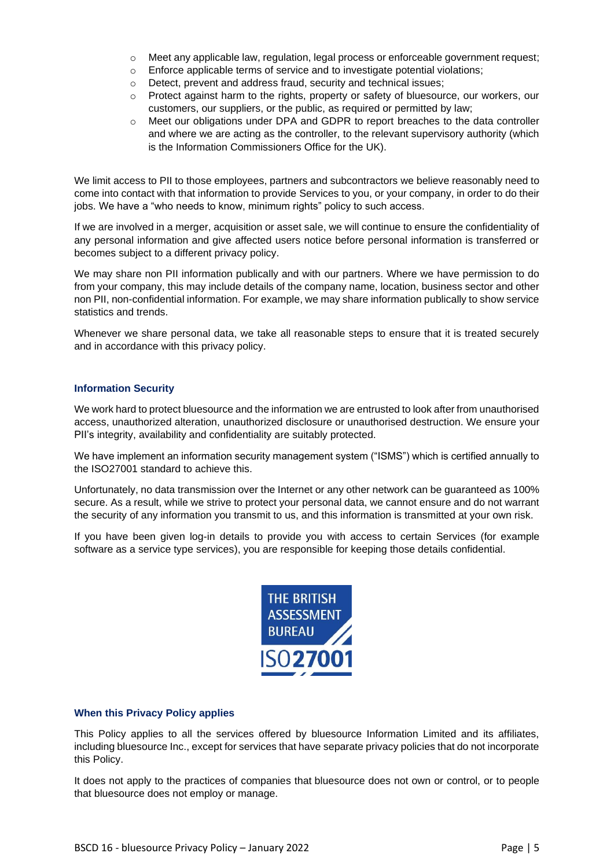- $\circ$  Meet any applicable law, regulation, legal process or enforceable government request;
- o Enforce applicable terms of service and to investigate potential violations;
- o Detect, prevent and address fraud, security and technical issues;
- o Protect against harm to the rights, property or safety of bluesource, our workers, our customers, our suppliers, or the public, as required or permitted by law;
- o Meet our obligations under DPA and GDPR to report breaches to the data controller and where we are acting as the controller, to the relevant supervisory authority (which is the Information Commissioners Office for the UK).

We limit access to PII to those employees, partners and subcontractors we believe reasonably need to come into contact with that information to provide Services to you, or your company, in order to do their jobs. We have a "who needs to know, minimum rights" policy to such access.

If we are involved in a merger, acquisition or asset sale, we will continue to ensure the confidentiality of any personal information and give affected users notice before personal information is transferred or becomes subject to a different privacy policy.

We may share non PII information publically and with our partners. Where we have permission to do from your company, this may include details of the company name, location, business sector and other non PII, non-confidential information. For example, we may share information publically to show service statistics and trends.

Whenever we share personal data, we take all reasonable steps to ensure that it is treated securely and in accordance with this privacy policy.

# **Information Security**

We work hard to protect bluesource and the information we are entrusted to look after from unauthorised access, unauthorized alteration, unauthorized disclosure or unauthorised destruction. We ensure your PII's integrity, availability and confidentiality are suitably protected.

We have implement an information security management system ("ISMS") which is certified annually to the ISO27001 standard to achieve this.

Unfortunately, no data transmission over the Internet or any other network can be guaranteed as 100% secure. As a result, while we strive to protect your personal data, we cannot ensure and do not warrant the security of any information you transmit to us, and this information is transmitted at your own risk.

If you have been given log-in details to provide you with access to certain Services (for example software as a service type services), you are responsible for keeping those details confidential.



# **When this Privacy Policy applies**

This Policy applies to all the services offered by bluesource Information Limited and its affiliates, including bluesource Inc., except for services that have separate privacy policies that do not incorporate this Policy.

It does not apply to the practices of companies that bluesource does not own or control, or to people that bluesource does not employ or manage.